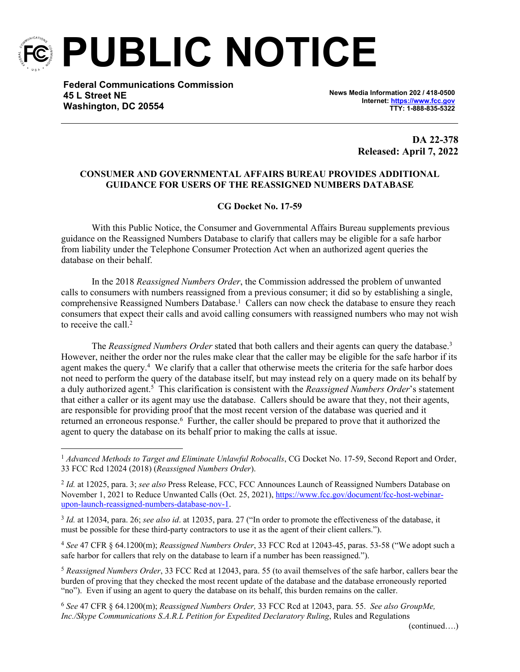

**PUBLIC NOTICE**

**Federal Communications Commission 45 L Street NE Washington, DC 20554**

**News Media Information 202 / 418-0500 Internet:<https://www.fcc.gov> TTY: 1-888-835-5322**

> **DA 22-378 Released: April 7, 2022**

## **CONSUMER AND GOVERNMENTAL AFFAIRS BUREAU PROVIDES ADDITIONAL GUIDANCE FOR USERS OF THE REASSIGNED NUMBERS DATABASE**

## **CG Docket No. 17-59**

With this Public Notice, the Consumer and Governmental Affairs Bureau supplements previous guidance on the Reassigned Numbers Database to clarify that callers may be eligible for a safe harbor from liability under the Telephone Consumer Protection Act when an authorized agent queries the database on their behalf.

In the 2018 *Reassigned Numbers Order*, the Commission addressed the problem of unwanted calls to consumers with numbers reassigned from a previous consumer; it did so by establishing a single, comprehensive Reassigned Numbers Database.<sup>1</sup> Callers can now check the database to ensure they reach consumers that expect their calls and avoid calling consumers with reassigned numbers who may not wish to receive the call.<sup>2</sup>

The *Reassigned Numbers Order* stated that both callers and their agents can query the database.<sup>3</sup> However, neither the order nor the rules make clear that the caller may be eligible for the safe harbor if its agent makes the query.<sup>4</sup> We clarify that a caller that otherwise meets the criteria for the safe harbor does not need to perform the query of the database itself, but may instead rely on a query made on its behalf by a duly authorized agent.<sup>5</sup> This clarification is consistent with the *Reassigned Numbers Order*'s statement that either a caller or its agent may use the database. Callers should be aware that they, not their agents, are responsible for providing proof that the most recent version of the database was queried and it returned an erroneous response.<sup>6</sup> Further, the caller should be prepared to prove that it authorized the agent to query the database on its behalf prior to making the calls at issue.

3 *Id.* at 12034, para. 26; *see also id*. at 12035, para. 27 ("In order to promote the effectiveness of the database, it must be possible for these third-party contractors to use it as the agent of their client callers.").

<sup>4</sup> *See* 47 CFR § 64.1200(m); *Reassigned Numbers Order*, 33 FCC Rcd at 12043-45, paras. 53-58 ("We adopt such a safe harbor for callers that rely on the database to learn if a number has been reassigned.").

<sup>5</sup> *Reassigned Numbers Order*, 33 FCC Rcd at 12043, para. 55 (to avail themselves of the safe harbor, callers bear the burden of proving that they checked the most recent update of the database and the database erroneously reported "no"). Even if using an agent to query the database on its behalf, this burden remains on the caller.

<sup>6</sup> *See* 47 CFR § 64.1200(m); *Reassigned Numbers Order,* 33 FCC Rcd at 12043, para. 55. *See also GroupMe, Inc./Skype Communications S.A.R.L Petition for Expedited Declaratory Ruling*, Rules and Regulations

<sup>&</sup>lt;sup>1</sup> Advanced Methods to Target and Eliminate Unlawful Robocalls, CG Docket No. 17-59, Second Report and Order, 33 FCC Rcd 12024 (2018) (*Reassigned Numbers Order*).

<sup>2</sup> *Id.* at 12025, para. 3; *see also* Press Release, FCC, FCC Announces Launch of Reassigned Numbers Database on November 1, 2021 to Reduce Unwanted Calls (Oct. 25, 2021), [https://www.fcc.gov/document/fcc-host-webinar](https://www.fcc.gov/document/fcc-host-webinar-upon-launch-reassigned-numbers-database-nov-1)[upon-launch-reassigned-numbers-database-nov-1.](https://www.fcc.gov/document/fcc-host-webinar-upon-launch-reassigned-numbers-database-nov-1)